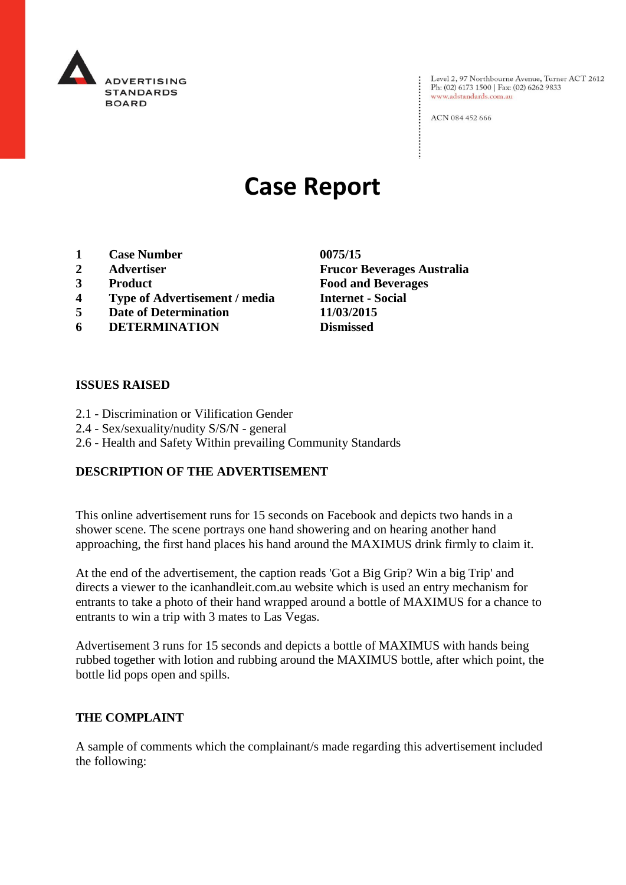

Level 2, 97 Northbourne Avenue, Turner ACT 2612<br>Ph: (02) 6173 1500 | Fax: (02) 6262 9833 www.adstandards.com.au

ACN 084 452 666

# **Case Report**

- **1 Case Number 0075/15**
- 
- 
- **4 Type of Advertisement / media Internet - Social**
- **5 Date of Determination 11/03/2015**
- **6 DETERMINATION Dismissed**

## **ISSUES RAISED**

- 2.1 Discrimination or Vilification Gender
- 2.4 Sex/sexuality/nudity S/S/N general
- 2.6 Health and Safety Within prevailing Community Standards

## **DESCRIPTION OF THE ADVERTISEMENT**

This online advertisement runs for 15 seconds on Facebook and depicts two hands in a shower scene. The scene portrays one hand showering and on hearing another hand approaching, the first hand places his hand around the MAXIMUS drink firmly to claim it.

At the end of the advertisement, the caption reads 'Got a Big Grip? Win a big Trip' and directs a viewer to the icanhandleit.com.au website which is used an entry mechanism for entrants to take a photo of their hand wrapped around a bottle of MAXIMUS for a chance to entrants to win a trip with 3 mates to Las Vegas.

Advertisement 3 runs for 15 seconds and depicts a bottle of MAXIMUS with hands being rubbed together with lotion and rubbing around the MAXIMUS bottle, after which point, the bottle lid pops open and spills.

## **THE COMPLAINT**

A sample of comments which the complainant/s made regarding this advertisement included the following:

**2 Advertiser Frucor Beverages Australia 3 Product Food and Beverages**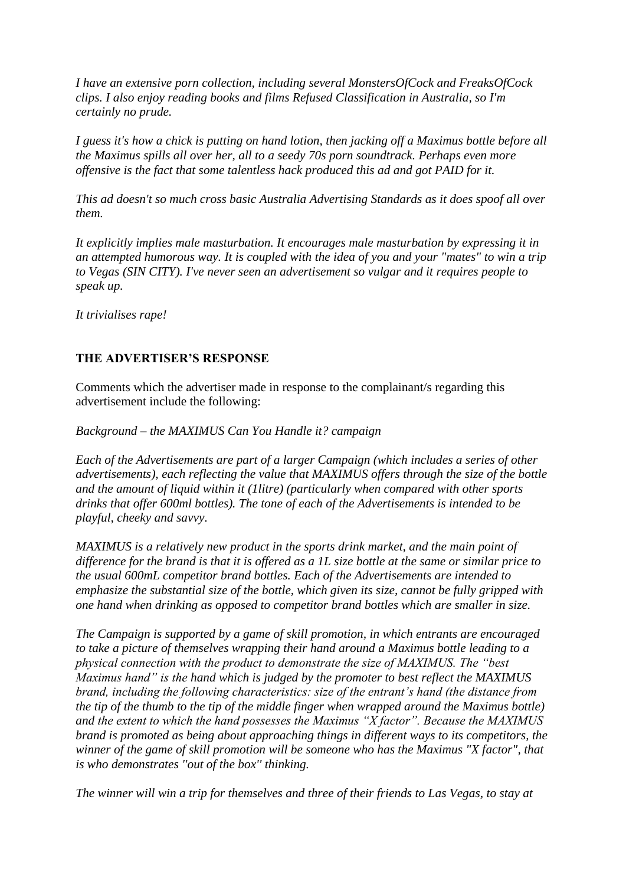*I have an extensive porn collection, including several MonstersOfCock and FreaksOfCock clips. I also enjoy reading books and films Refused Classification in Australia, so I'm certainly no prude.* 

*I guess it's how a chick is putting on hand lotion, then jacking off a Maximus bottle before all the Maximus spills all over her, all to a seedy 70s porn soundtrack. Perhaps even more offensive is the fact that some talentless hack produced this ad and got PAID for it.* 

*This ad doesn't so much cross basic Australia Advertising Standards as it does spoof all over them.*

*It explicitly implies male masturbation. It encourages male masturbation by expressing it in an attempted humorous way. It is coupled with the idea of you and your "mates" to win a trip to Vegas (SIN CITY). I've never seen an advertisement so vulgar and it requires people to speak up.* 

*It trivialises rape!*

# **THE ADVERTISER'S RESPONSE**

Comments which the advertiser made in response to the complainant/s regarding this advertisement include the following:

*Background – the MAXIMUS Can You Handle it? campaign* 

*Each of the Advertisements are part of a larger Campaign (which includes a series of other advertisements), each reflecting the value that MAXIMUS offers through the size of the bottle and the amount of liquid within it (1litre) (particularly when compared with other sports drinks that offer 600ml bottles). The tone of each of the Advertisements is intended to be playful, cheeky and savvy.* 

*MAXIMUS is a relatively new product in the sports drink market, and the main point of difference for the brand is that it is offered as a 1L size bottle at the same or similar price to the usual 600mL competitor brand bottles. Each of the Advertisements are intended to emphasize the substantial size of the bottle, which given its size, cannot be fully gripped with one hand when drinking as opposed to competitor brand bottles which are smaller in size.* 

*The Campaign is supported by a game of skill promotion, in which entrants are encouraged to take a picture of themselves wrapping their hand around a Maximus bottle leading to a physical connection with the product to demonstrate the size of MAXIMUS. The "best Maximus hand" is the hand which is judged by the promoter to best reflect the MAXIMUS brand, including the following characteristics: size of the entrant's hand (the distance from the tip of the thumb to the tip of the middle finger when wrapped around the Maximus bottle) and the extent to which the hand possesses the Maximus "X factor". Because the MAXIMUS brand is promoted as being about approaching things in different ways to its competitors, the winner of the game of skill promotion will be someone who has the Maximus "X factor", that is who demonstrates ''out of the box'' thinking.*

*The winner will win a trip for themselves and three of their friends to Las Vegas, to stay at*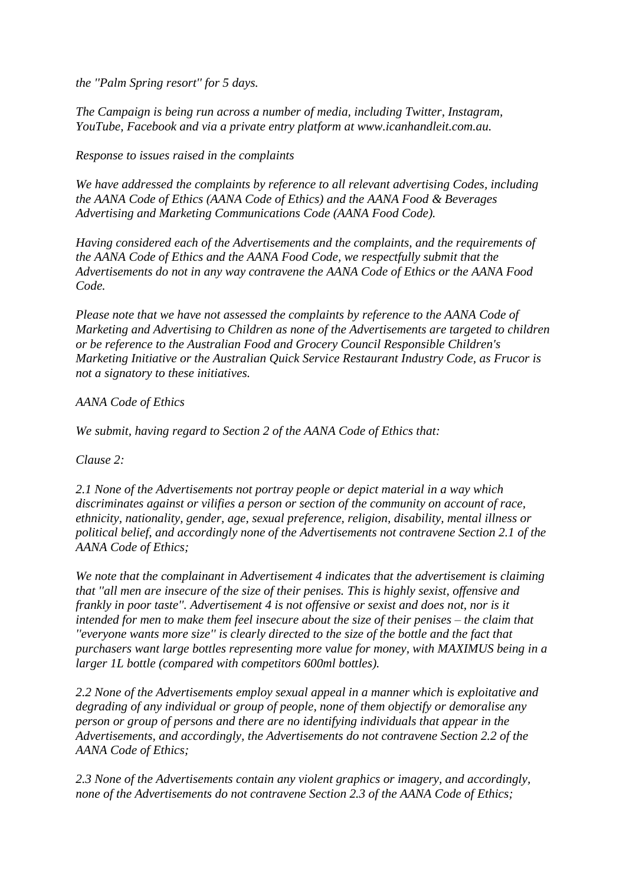*the ''Palm Spring resort'' for 5 days.*

*The Campaign is being run across a number of media, including Twitter, Instagram, YouTube, Facebook and via a private entry platform at www.icanhandleit.com.au.* 

*Response to issues raised in the complaints*

*We have addressed the complaints by reference to all relevant advertising Codes, including the AANA Code of Ethics (AANA Code of Ethics) and the AANA Food & Beverages Advertising and Marketing Communications Code (AANA Food Code).* 

*Having considered each of the Advertisements and the complaints, and the requirements of the AANA Code of Ethics and the AANA Food Code, we respectfully submit that the Advertisements do not in any way contravene the AANA Code of Ethics or the AANA Food Code.* 

*Please note that we have not assessed the complaints by reference to the AANA Code of Marketing and Advertising to Children as none of the Advertisements are targeted to children or be reference to the Australian Food and Grocery Council Responsible Children's Marketing Initiative or the Australian Quick Service Restaurant Industry Code, as Frucor is not a signatory to these initiatives.*

# *AANA Code of Ethics*

*We submit, having regard to Section 2 of the AANA Code of Ethics that:*

*Clause 2:*

*2.1 None of the Advertisements not portray people or depict material in a way which discriminates against or vilifies a person or section of the community on account of race, ethnicity, nationality, gender, age, sexual preference, religion, disability, mental illness or political belief, and accordingly none of the Advertisements not contravene Section 2.1 of the AANA Code of Ethics;*

*We note that the complainant in Advertisement 4 indicates that the advertisement is claiming that ''all men are insecure of the size of their penises. This is highly sexist, offensive and frankly in poor taste''. Advertisement 4 is not offensive or sexist and does not, nor is it intended for men to make them feel insecure about the size of their penises – the claim that ''everyone wants more size'' is clearly directed to the size of the bottle and the fact that purchasers want large bottles representing more value for money, with MAXIMUS being in a larger 1L bottle (compared with competitors 600ml bottles).*

*2.2 None of the Advertisements employ sexual appeal in a manner which is exploitative and degrading of any individual or group of people, none of them objectify or demoralise any person or group of persons and there are no identifying individuals that appear in the Advertisements, and accordingly, the Advertisements do not contravene Section 2.2 of the AANA Code of Ethics;*

*2.3 None of the Advertisements contain any violent graphics or imagery, and accordingly, none of the Advertisements do not contravene Section 2.3 of the AANA Code of Ethics;*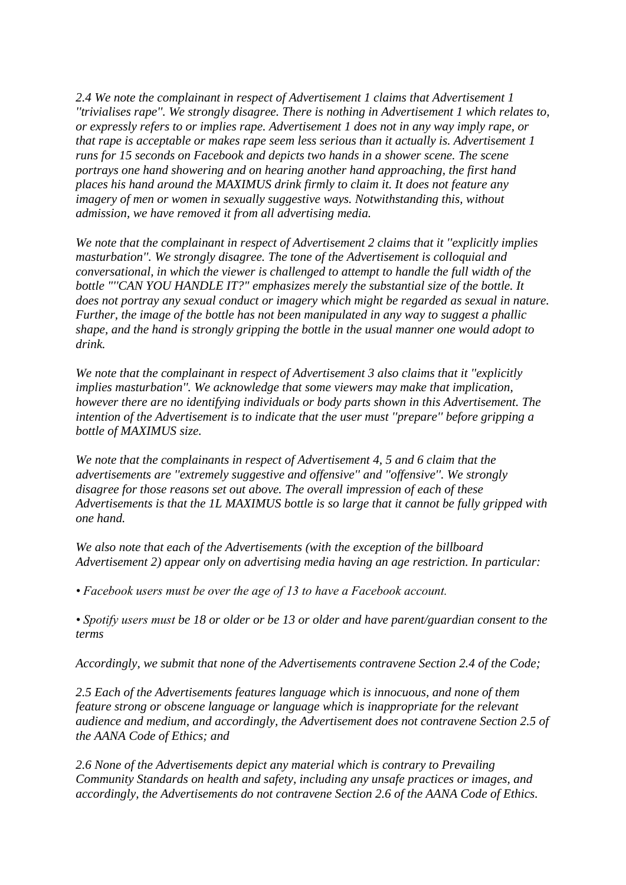*2.4 We note the complainant in respect of Advertisement 1 claims that Advertisement 1 ''trivialises rape''. We strongly disagree. There is nothing in Advertisement 1 which relates to, or expressly refers to or implies rape. Advertisement 1 does not in any way imply rape, or that rape is acceptable or makes rape seem less serious than it actually is. Advertisement 1 runs for 15 seconds on Facebook and depicts two hands in a shower scene. The scene portrays one hand showering and on hearing another hand approaching, the first hand places his hand around the MAXIMUS drink firmly to claim it. It does not feature any imagery of men or women in sexually suggestive ways. Notwithstanding this, without admission, we have removed it from all advertising media.*

*We note that the complainant in respect of Advertisement 2 claims that it ''explicitly implies masturbation''. We strongly disagree. The tone of the Advertisement is colloquial and conversational, in which the viewer is challenged to attempt to handle the full width of the bottle "''CAN YOU HANDLE IT?" emphasizes merely the substantial size of the bottle. It does not portray any sexual conduct or imagery which might be regarded as sexual in nature. Further, the image of the bottle has not been manipulated in any way to suggest a phallic shape, and the hand is strongly gripping the bottle in the usual manner one would adopt to drink.* 

*We note that the complainant in respect of Advertisement 3 also claims that it ''explicitly implies masturbation''. We acknowledge that some viewers may make that implication, however there are no identifying individuals or body parts shown in this Advertisement. The intention of the Advertisement is to indicate that the user must ''prepare'' before gripping a bottle of MAXIMUS size.* 

*We note that the complainants in respect of Advertisement 4, 5 and 6 claim that the advertisements are ''extremely suggestive and offensive'' and ''offensive''. We strongly disagree for those reasons set out above. The overall impression of each of these Advertisements is that the 1L MAXIMUS bottle is so large that it cannot be fully gripped with one hand.* 

*We also note that each of the Advertisements (with the exception of the billboard Advertisement 2) appear only on advertising media having an age restriction. In particular:*

*• Facebook users must be over the age of 13 to have a Facebook account.* 

*• Spotify users must be 18 or older or be 13 or older and have parent/guardian consent to the terms*

*Accordingly, we submit that none of the Advertisements contravene Section 2.4 of the Code;*

*2.5 Each of the Advertisements features language which is innocuous, and none of them feature strong or obscene language or language which is inappropriate for the relevant audience and medium, and accordingly, the Advertisement does not contravene Section 2.5 of the AANA Code of Ethics; and*

*2.6 None of the Advertisements depict any material which is contrary to Prevailing Community Standards on health and safety, including any unsafe practices or images, and accordingly, the Advertisements do not contravene Section 2.6 of the AANA Code of Ethics.*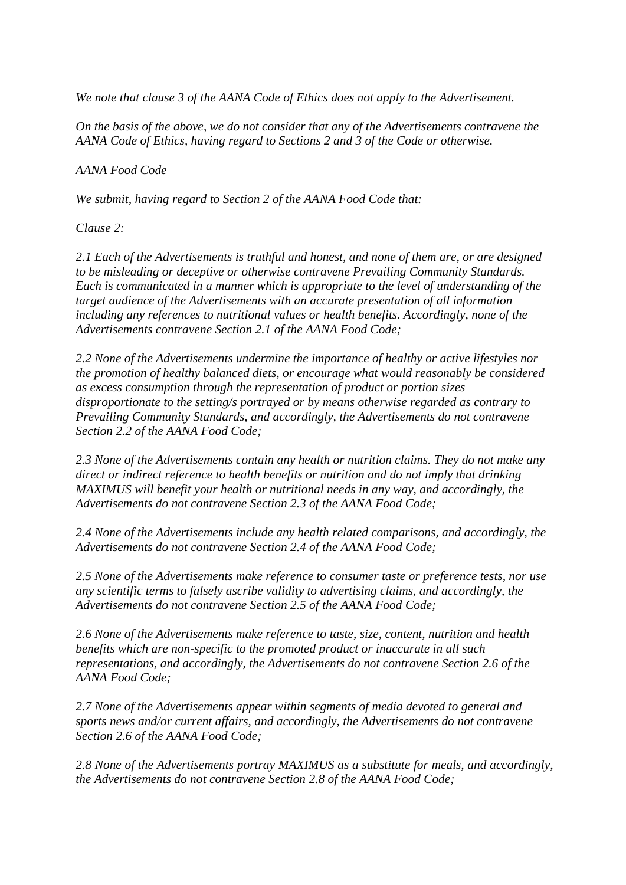*We note that clause 3 of the AANA Code of Ethics does not apply to the Advertisement.*

*On the basis of the above, we do not consider that any of the Advertisements contravene the AANA Code of Ethics, having regard to Sections 2 and 3 of the Code or otherwise.* 

## *AANA Food Code*

*We submit, having regard to Section 2 of the AANA Food Code that:*

# *Clause 2:*

*2.1 Each of the Advertisements is truthful and honest, and none of them are, or are designed to be misleading or deceptive or otherwise contravene Prevailing Community Standards. Each is communicated in a manner which is appropriate to the level of understanding of the target audience of the Advertisements with an accurate presentation of all information including any references to nutritional values or health benefits. Accordingly, none of the Advertisements contravene Section 2.1 of the AANA Food Code;*

*2.2 None of the Advertisements undermine the importance of healthy or active lifestyles nor the promotion of healthy balanced diets, or encourage what would reasonably be considered as excess consumption through the representation of product or portion sizes disproportionate to the setting/s portrayed or by means otherwise regarded as contrary to Prevailing Community Standards, and accordingly, the Advertisements do not contravene Section 2.2 of the AANA Food Code;* 

*2.3 None of the Advertisements contain any health or nutrition claims. They do not make any direct or indirect reference to health benefits or nutrition and do not imply that drinking MAXIMUS will benefit your health or nutritional needs in any way, and accordingly, the Advertisements do not contravene Section 2.3 of the AANA Food Code;*

*2.4 None of the Advertisements include any health related comparisons, and accordingly, the Advertisements do not contravene Section 2.4 of the AANA Food Code;*

*2.5 None of the Advertisements make reference to consumer taste or preference tests, nor use any scientific terms to falsely ascribe validity to advertising claims, and accordingly, the Advertisements do not contravene Section 2.5 of the AANA Food Code;*

*2.6 None of the Advertisements make reference to taste, size, content, nutrition and health benefits which are non-specific to the promoted product or inaccurate in all such representations, and accordingly, the Advertisements do not contravene Section 2.6 of the AANA Food Code;*

*2.7 None of the Advertisements appear within segments of media devoted to general and sports news and/or current affairs, and accordingly, the Advertisements do not contravene Section 2.6 of the AANA Food Code;*

*2.8 None of the Advertisements portray MAXIMUS as a substitute for meals, and accordingly, the Advertisements do not contravene Section 2.8 of the AANA Food Code;*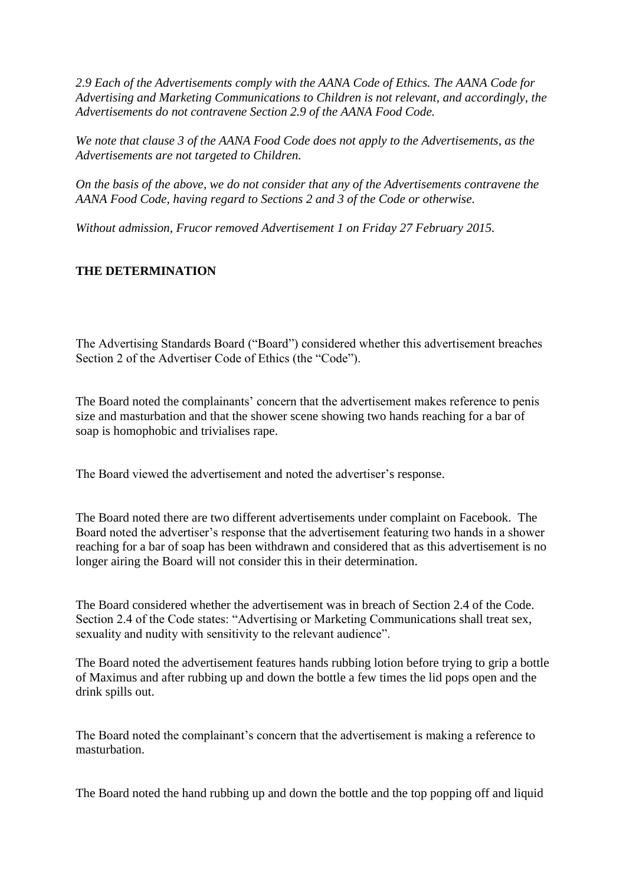*2.9 Each of the Advertisements comply with the AANA Code of Ethics. The AANA Code for Advertising and Marketing Communications to Children is not relevant, and accordingly, the Advertisements do not contravene Section 2.9 of the AANA Food Code.*

*We note that clause 3 of the AANA Food Code does not apply to the Advertisements, as the Advertisements are not targeted to Children.*

*On the basis of the above, we do not consider that any of the Advertisements contravene the AANA Food Code, having regard to Sections 2 and 3 of the Code or otherwise.* 

*Without admission, Frucor removed Advertisement 1 on Friday 27 February 2015.*

# **THE DETERMINATION**

The Advertising Standards Board ("Board") considered whether this advertisement breaches Section 2 of the Advertiser Code of Ethics (the "Code").

The Board noted the complainants' concern that the advertisement makes reference to penis size and masturbation and that the shower scene showing two hands reaching for a bar of soap is homophobic and trivialises rape.

The Board viewed the advertisement and noted the advertiser's response.

The Board noted there are two different advertisements under complaint on Facebook. The Board noted the advertiser's response that the advertisement featuring two hands in a shower reaching for a bar of soap has been withdrawn and considered that as this advertisement is no longer airing the Board will not consider this in their determination.

The Board considered whether the advertisement was in breach of Section 2.4 of the Code. Section 2.4 of the Code states: "Advertising or Marketing Communications shall treat sex, sexuality and nudity with sensitivity to the relevant audience".

The Board noted the advertisement features hands rubbing lotion before trying to grip a bottle of Maximus and after rubbing up and down the bottle a few times the lid pops open and the drink spills out.

The Board noted the complainant's concern that the advertisement is making a reference to masturbation.

The Board noted the hand rubbing up and down the bottle and the top popping off and liquid